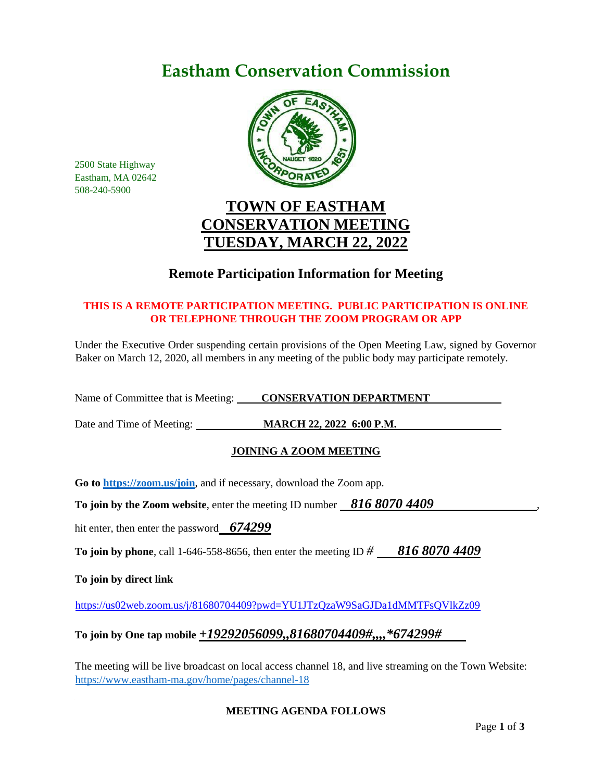# **Eastham Conservation Commission**



2500 State Highway Eastham, MA 02642 508-240-5900

## **TOWN OF EASTHAM CONSERVATION MEETING TUESDAY, MARCH 22, 2022**

### **Remote Participation Information for Meeting**

### **THIS IS A REMOTE PARTICIPATION MEETING. PUBLIC PARTICIPATION IS ONLINE OR TELEPHONE THROUGH THE ZOOM PROGRAM OR APP**

Under the Executive Order suspending certain provisions of the Open Meeting Law, signed by Governor Baker on March 12, 2020, all members in any meeting of the public body may participate remotely.

Name of Committee that is Meeting: **CONSERVATION DEPARTMENT** 

Date and Time of Meeting: **MARCH 22, 2022 6:00 P.M.**

### **JOINING A ZOOM MEETING**

**Go to<https://zoom.us/join>**, and if necessary, download the Zoom app.

**To join by the Zoom website, enter the meeting ID number 816 8070 4409** 

hit enter, then enter the password *674299*

**To join by phone**, call 1-646-558-8656, then enter the meeting ID *# 816 8070 4409*

**To join by direct link**

<https://us02web.zoom.us/j/81680704409?pwd=YU1JTzQzaW9SaGJDa1dMMTFsQVlkZz09>

### **To join by One tap mobile** *+19292056099,,81680704409#,,,,\*674299#*

The meeting will be live broadcast on local access channel 18, and live streaming on the Town Website: <https://www.eastham-ma.gov/home/pages/channel-18>

### **MEETING AGENDA FOLLOWS**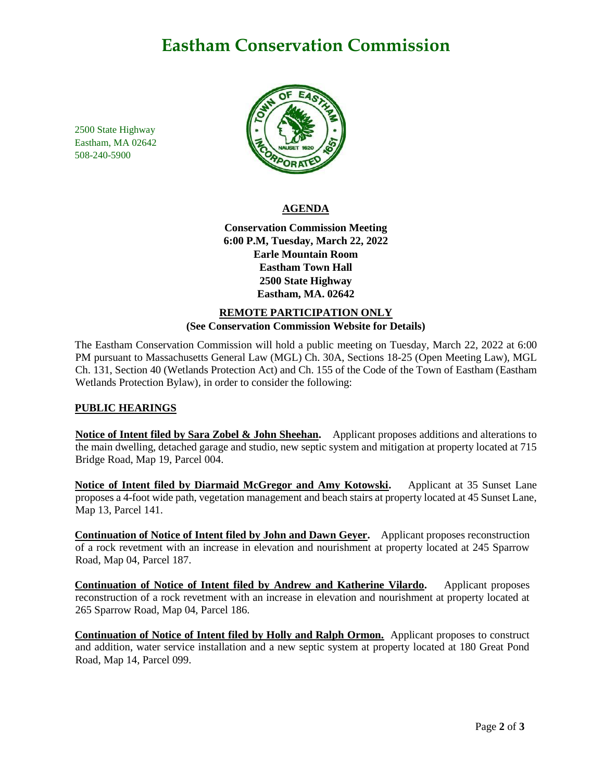## **Eastham Conservation Commission**

2500 State Highway Eastham, MA 02642 508-240-5900



### **AGENDA**

**Conservation Commission Meeting 6:00 P.M, Tuesday, March 22, 2022 Earle Mountain Room Eastham Town Hall 2500 State Highway Eastham, MA. 02642**

### **REMOTE PARTICIPATION ONLY (See Conservation Commission Website for Details)**

The Eastham Conservation Commission will hold a public meeting on Tuesday, March 22, 2022 at 6:00 PM pursuant to Massachusetts General Law (MGL) Ch. 30A, Sections 18-25 (Open Meeting Law), MGL Ch. 131, Section 40 (Wetlands Protection Act) and Ch. 155 of the Code of the Town of Eastham (Eastham Wetlands Protection Bylaw), in order to consider the following:

### **PUBLIC HEARINGS**

**Notice of Intent filed by Sara Zobel & John Sheehan.** Applicant proposes additions and alterations to the main dwelling, detached garage and studio, new septic system and mitigation at property located at 715 Bridge Road, Map 19, Parcel 004.

**Notice of Intent filed by Diarmaid McGregor and Amy Kotowski.** Applicant at 35 Sunset Lane proposes a 4-foot wide path, vegetation management and beach stairs at property located at 45 Sunset Lane, Map 13, Parcel 141.

**Continuation of Notice of Intent filed by John and Dawn Geyer.** Applicant proposes reconstruction of a rock revetment with an increase in elevation and nourishment at property located at 245 Sparrow Road, Map 04, Parcel 187.

**Continuation of Notice of Intent filed by Andrew and Katherine Vilardo.** Applicant proposes reconstruction of a rock revetment with an increase in elevation and nourishment at property located at 265 Sparrow Road, Map 04, Parcel 186.

**Continuation of Notice of Intent filed by Holly and Ralph Ormon.** Applicant proposes to construct and addition, water service installation and a new septic system at property located at 180 Great Pond Road, Map 14, Parcel 099.